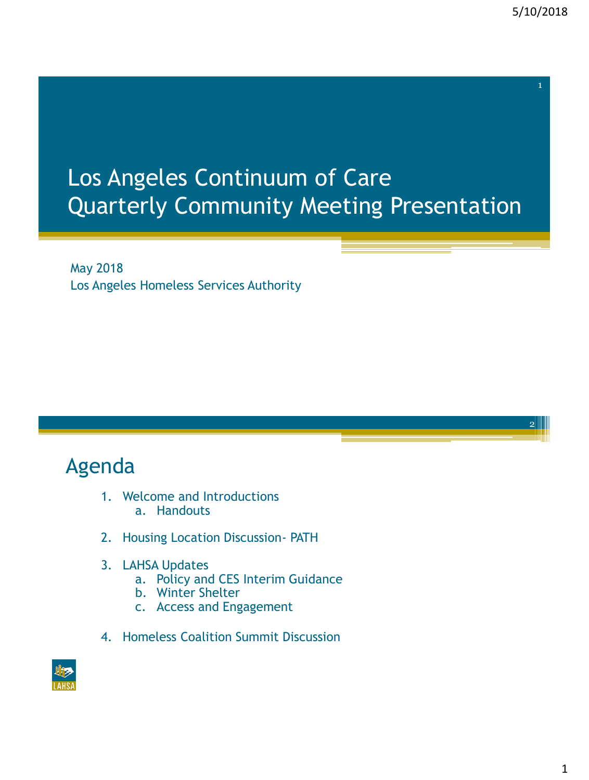2

# Los Angeles Continuum of Care Quarterly Community Meeting Presentation

May 2018 Los Angeles Homeless Services Authority

# Agenda

- 1. Welcome and Introductions a. Handouts
- 2. Housing Location Discussion- PATH
- 3. LAHSA Updates
	- a. Policy and CES Interim Guidance
	- b. Winter Shelter
	- c. Access and Engagement
- 4. Homeless Coalition Summit Discussion

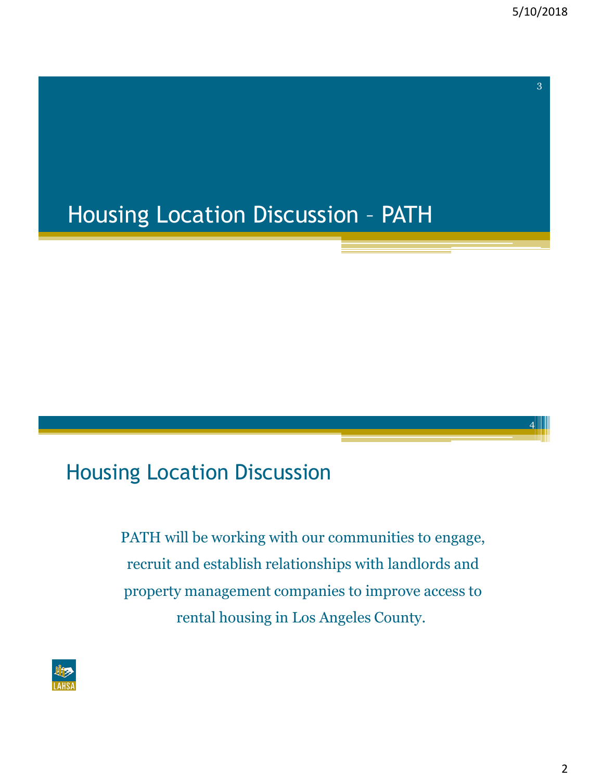4

# Housing Location Discussion – PATH

#### Housing Location Discussion

PATH will be working with our communities to engage, recruit and establish relationships with landlords and property management companies to improve access to rental housing in Los Angeles County.

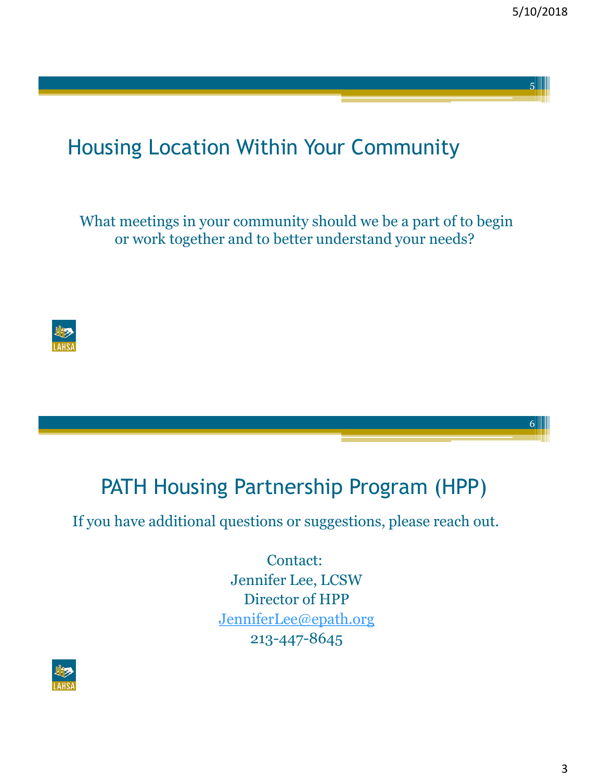6

# Housing Location Within Your Community

What meetings in your community should we be a part of to begin or work together and to better understand your needs?



#### PATH Housing Partnership Program (HPP)

If you have additional questions or suggestions, please reach out.

Contact: Jennifer Lee, LCSW Director of HPP [JenniferLee@epath.org](mailto:Jenniferlee@epath.org) 213-447-8645

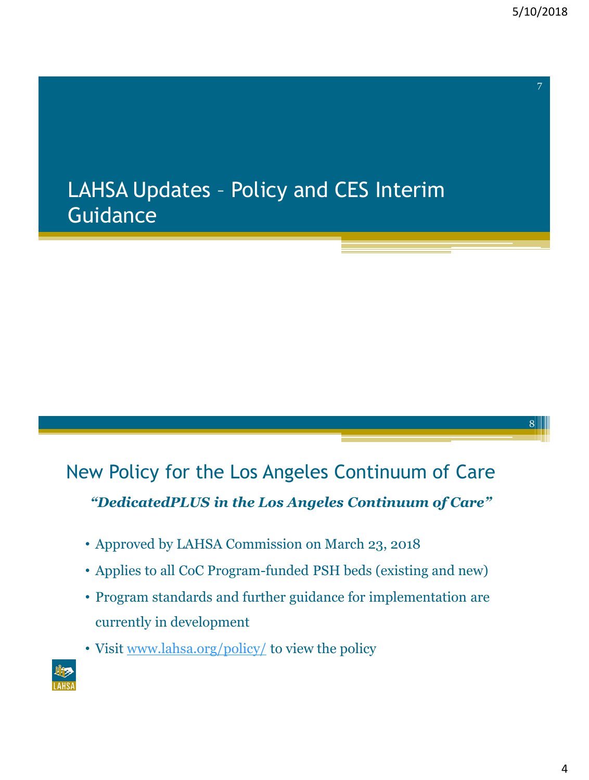8

# LAHSA Updates – Policy and CES Interim **Guidance**

# New Policy for the Los Angeles Continuum of Care *"DedicatedPLUS in the Los Angeles Continuum of Care"*

- Approved by LAHSA Commission on March 23, 2018
- Applies to all CoC Program-funded PSH beds (existing and new)
- Program standards and further guidance for implementation are currently in development
- Visit [www.lahsa.org/policy/](http://www.lahsa.org/policy/) to view the policy

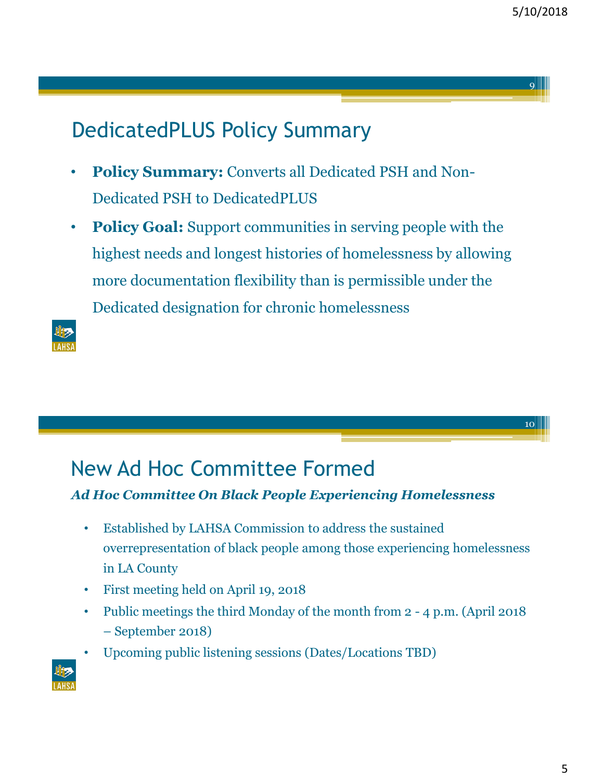10

# DedicatedPLUS Policy Summary

- **Policy Summary:** Converts all Dedicated PSH and Non-Dedicated PSH to DedicatedPLUS
- **Policy Goal:** Support communities in serving people with the highest needs and longest histories of homelessness by allowing more documentation flexibility than is permissible under the Dedicated designation for chronic homelessness



# New Ad Hoc Committee Formed

#### *Ad Hoc Committee On Black People Experiencing Homelessness*

- Established by LAHSA Commission to address the sustained overrepresentation of black people among those experiencing homelessness in LA County
- First meeting held on April 19, 2018
- Public meetings the third Monday of the month from 2 4 p.m. (April 2018 – September 2018)
- Upcoming public listening sessions (Dates/Locations TBD)

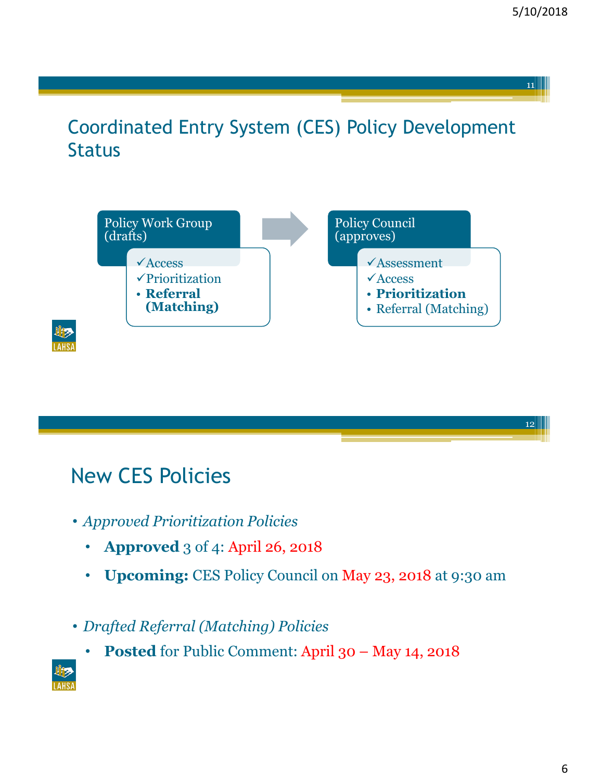#### Coordinated Entry System (CES) Policy Development Status





# New CES Policies

- *Approved Prioritization Policies*
	- **Approved** 3 of 4: April 26, 2018
	- **Upcoming:** CES Policy Council on May 23, 2018 at 9:30 am
- *Drafted Referral (Matching) Policies*
	- **Posted** for Public Comment: April 30 May 14, 2018

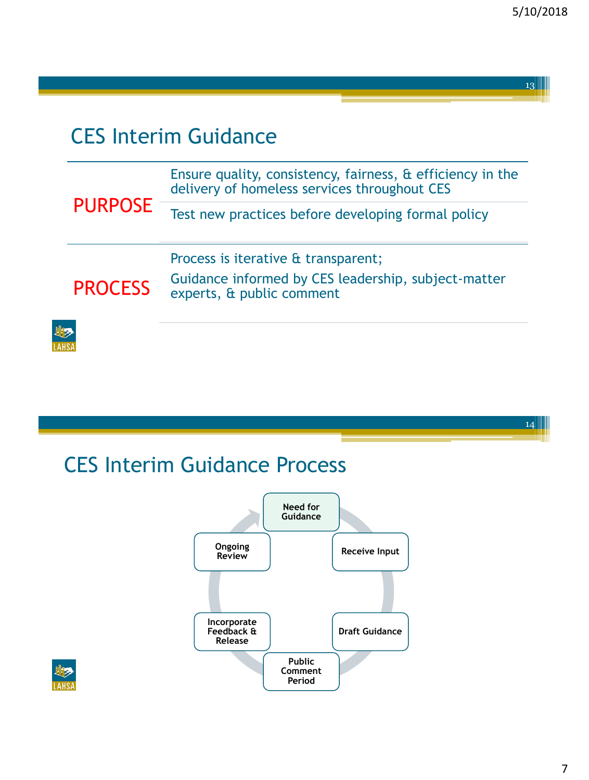# CES Interim Guidance

L

| <b>PURPOSE</b> | Ensure quality, consistency, fairness, & efficiency in the<br>delivery of homeless services throughout CES              |
|----------------|-------------------------------------------------------------------------------------------------------------------------|
|                | Test new practices before developing formal policy                                                                      |
| <b>PROCESS</b> | Process is iterative & transparent;<br>Guidance informed by CES leadership, subject-matter<br>experts, & public comment |
|                |                                                                                                                         |

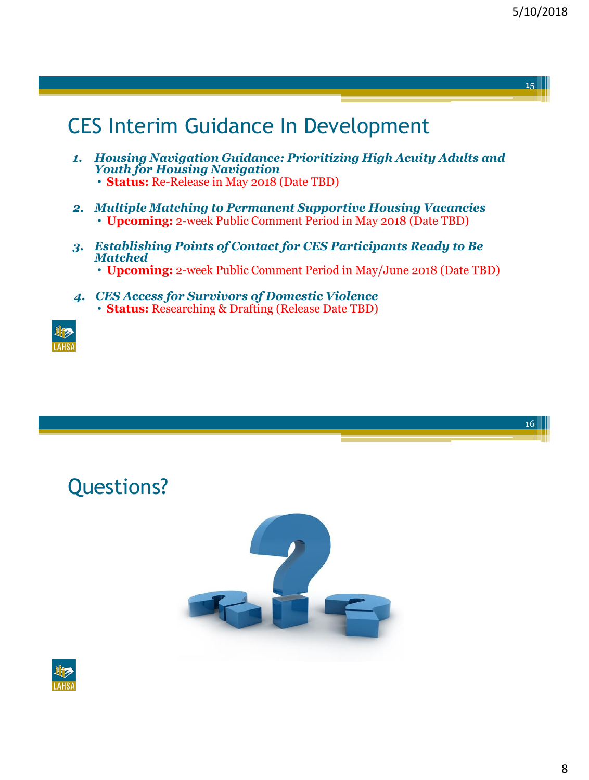# CES Interim Guidance In Development

- *1. Housing Navigation Guidance: Prioritizing High Acuity Adults and Youth for Housing Navigation* • **Status:** Re-Release in May 2018 (Date TBD)
- *2. Multiple Matching to Permanent Supportive Housing Vacancies* • **Upcoming:** 2-week Public Comment Period in May 2018 (Date TBD)
- *3. Establishing Points of Contact for CES Participants Ready to Be Matched*
	- **Upcoming:** 2-week Public Comment Period in May/June 2018 (Date TBD)
- *4. CES Access for Survivors of Domestic Violence* • **Status:** Researching & Drafting (Release Date TBD)



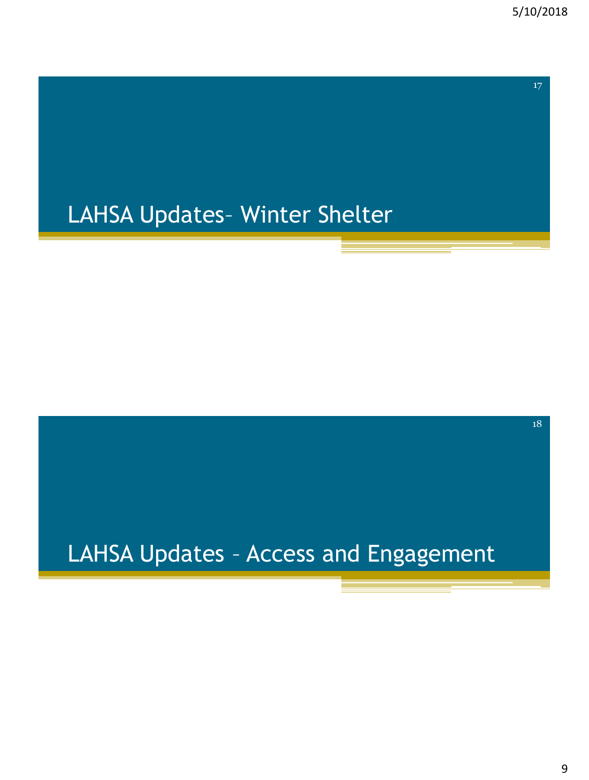18

# LAHSA Updates– Winter Shelter

# LAHSA Updates – Access and Engagement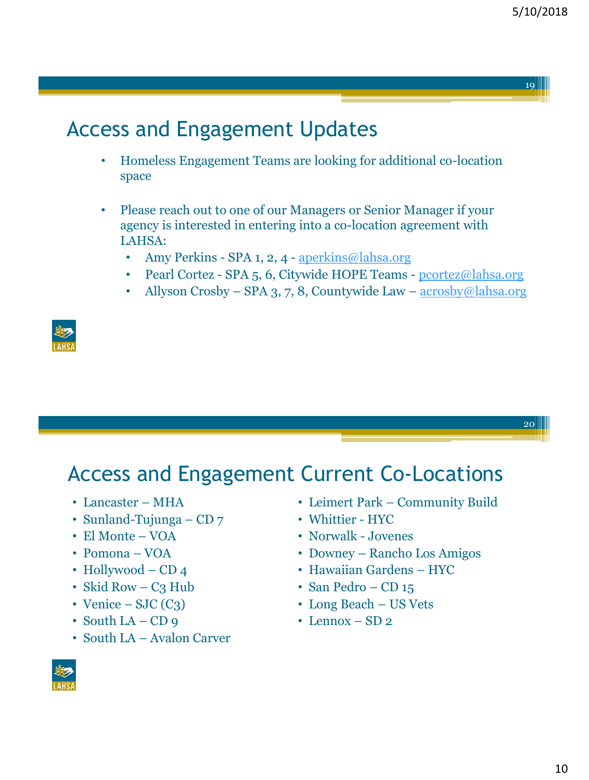20

# Access and Engagement Updates

- Homeless Engagement Teams are looking for additional co-location space
- Please reach out to one of our Managers or Senior Manager if your agency is interested in entering into a co-location agreement with LAHSA:
	- Amy Perkins SPA 1, 2, 4 [aperkins@lahsa.org](mailto:aperkins@lahsa.org)
	- Pearl Cortez SPA 5, 6, Citywide HOPE Teams [pcortez@lahsa.org](mailto:pcortez@lahsa.org)
	- Allyson Crosby SPA 3, 7, 8, Countywide Law [acrosby@lahsa.org](mailto:acrosby@lahsa.org)



# Access and Engagement Current Co-Locations

- Lancaster MHA
- Sunland-Tujunga CD 7
- El Monte VOA
- Pomona VOA
- Hollywood CD 4
- Skid Row  $C_3$  Hub
- Venice SJC  $(C_3)$
- South  $LA CD$  9
- South LA Avalon Carver
- Leimert Park Community Build
- Whittier HYC
- Norwalk Jovenes
- Downey Rancho Los Amigos
- Hawaiian Gardens HYC
- San Pedro CD 15
- Long Beach US Vets
- Lennox  $SD 2$

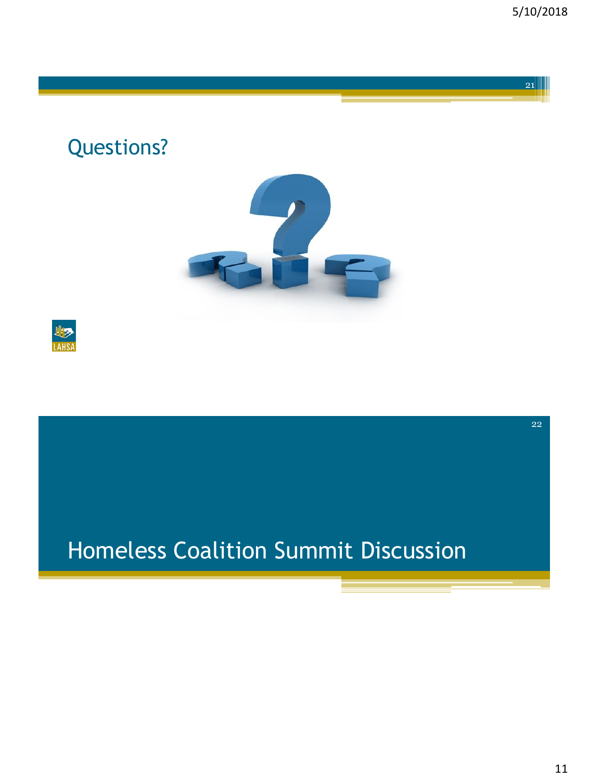22

Questions?





# Homeless Coalition Summit Discussion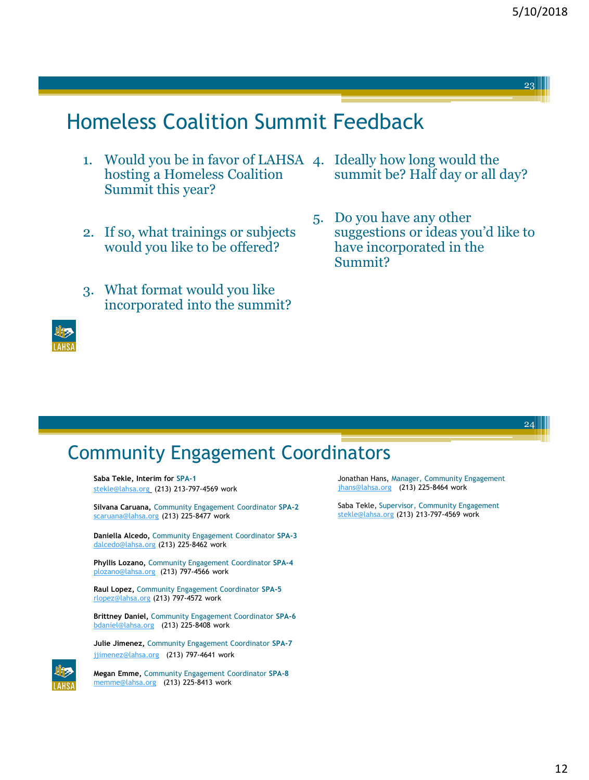24

# Homeless Coalition Summit Feedback

- 1. Would you be in favor of LAHSA 4. Ideally how long would the hosting a Homeless Coalition Summit this year?
- 2. If so, what trainings or subjects would you like to be offered?
- 3. What format would you like incorporated into the summit?



# summit be? Half day or all day?

5. Do you have any other suggestions or ideas you'd like to have incorporated in the Summit?

#### Community Engagement Coordinators

**Saba Tekle, Interim for SPA-1** [stekle@lahsa.org](mailto:stekle@lahsa.org) (213) 213-797-4569 work

**Silvana Caruana,** Community Engagement Coordinator **SPA-2** [scaruana@lahsa.org](mailto:scaruana@lahsa.org) (213) 225-8477 work

**Daniella Alcedo,** Community Engagement Coordinator **SPA-3** [dalcedo@lahsa.org](mailto:dalcedo@lahsa.org) (213) 225-8462 work

**Phyllis Lozano,** Community Engagement Coordinator **SPA-4** [plozano@lahsa.org](mailto:plozano@lahsa.org) (213) 797-4566 work

**Raul Lopez,** Community Engagement Coordinator **SPA-5** [rlopez@lahsa.org](mailto:dalcedo@lahsa.org) (213) 797-4572 work

**Brittney Daniel,** Community Engagement Coordinator **SPA-6** [bdaniel@lahsa.org](mailto:bdaniel@lahsa.org) (213) 225-8408 work

**Julie Jimenez,** Community Engagement Coordinator **SPA-7** [jjimenez@lahsa.org](mailto:jjimenez@lahsa.org) (213) 797-4641 work



**Megan Emme,** Community Engagement Coordinator **SPA-8**  [memme@lahsa.org](mailto:kbarnette@lahsa.org) (213) 225-8413 work

Jonathan Hans, Manager, Community Engagement [jhans@lahsa.org](mailto:jhans@lahsa.org) (213) 225-8464 work

Saba Tekle, Supervisor, Community Engagement [stekle@lahsa.org](mailto:stekle@lahsa.org) (213) 213-797-4569 work